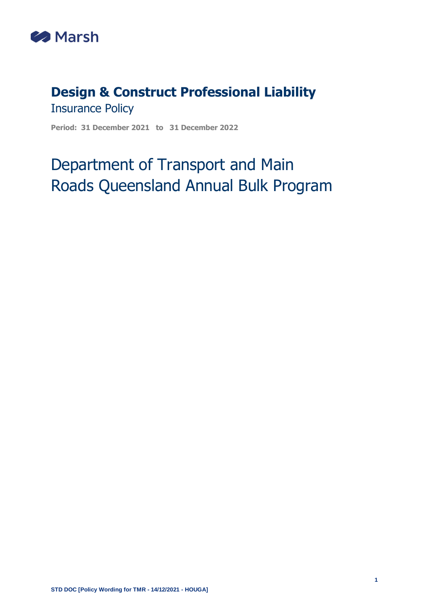

# **Design & Construct Professional Liability** Insurance Policy

**Period: 31 December 2021 to 31 December 2022**

# Department of Transport and Main Roads Queensland Annual Bulk Program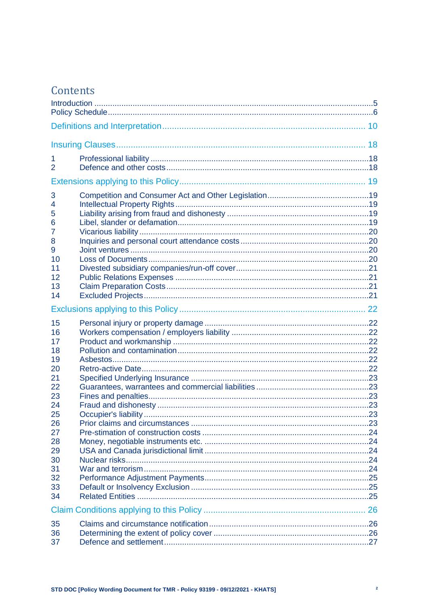# Contents

| 1<br>2                                                  |  |  |  |  |
|---------------------------------------------------------|--|--|--|--|
|                                                         |  |  |  |  |
| 3<br>4<br>5<br>6<br>7<br>8<br>9<br>10<br>11<br>12<br>13 |  |  |  |  |
| 14                                                      |  |  |  |  |
|                                                         |  |  |  |  |
| 15<br>16<br>17<br>18<br>19<br>20<br>21                  |  |  |  |  |
| 22<br>23<br>24<br>25<br>26<br>27                        |  |  |  |  |
| 28<br>29<br>30<br>31<br>32<br>33<br>34                  |  |  |  |  |
|                                                         |  |  |  |  |
| 35<br>36<br>37                                          |  |  |  |  |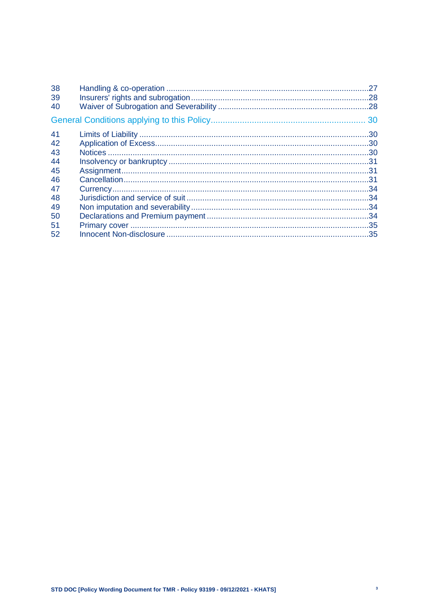| 38 |  |
|----|--|
| 39 |  |
| 40 |  |
|    |  |
| 41 |  |
| 42 |  |
| 43 |  |
| 44 |  |
| 45 |  |
| 46 |  |
| 47 |  |
| 48 |  |
| 49 |  |
| 50 |  |
| 51 |  |
| 52 |  |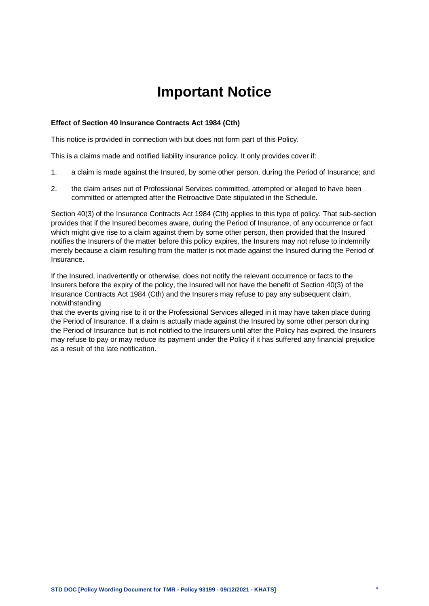# **Important Notice**

#### **Effect of Section 40 Insurance Contracts Act 1984 (Cth)**

This notice is provided in connection with but does not form part of this Policy.

This is a claims made and notified liability insurance policy. It only provides cover if:

- 1. a claim is made against the Insured, by some other person, during the Period of Insurance; and
- 2. the claim arises out of Professional Services committed, attempted or alleged to have been committed or attempted after the Retroactive Date stipulated in the Schedule.

Section 40(3) of the Insurance Contracts Act 1984 (Cth) applies to this type of policy. That sub-section provides that if the Insured becomes aware, during the Period of Insurance, of any occurrence or fact which might give rise to a claim against them by some other person, then provided that the Insured notifies the Insurers of the matter before this policy expires, the Insurers may not refuse to indemnify merely because a claim resulting from the matter is not made against the Insured during the Period of Insurance.

If the Insured, inadvertently or otherwise, does not notify the relevant occurrence or facts to the Insurers before the expiry of the policy, the Insured will not have the benefit of Section 40(3) of the Insurance Contracts Act 1984 (Cth) and the Insurers may refuse to pay any subsequent claim, notwithstanding

that the events giving rise to it or the Professional Services alleged in it may have taken place during the Period of Insurance. If a claim is actually made against the Insured by some other person during the Period of Insurance but is not notified to the Insurers until after the Policy has expired, the Insurers may refuse to pay or may reduce its payment under the Policy if it has suffered any financial prejudice as a result of the late notification.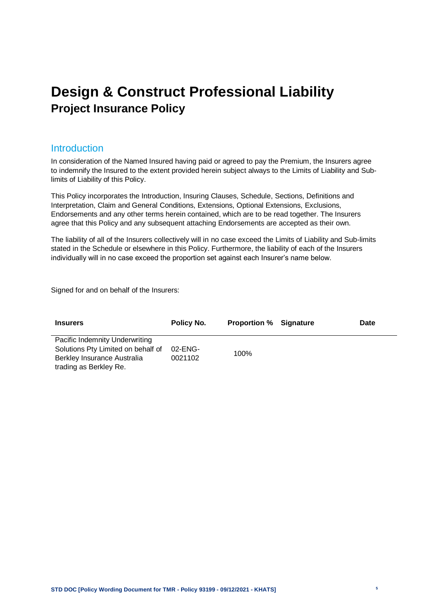# **Design & Construct Professional Liability Project Insurance Policy**

### <span id="page-4-0"></span>**Introduction**

In consideration of the Named Insured having paid or agreed to pay the Premium, the Insurers agree to indemnify the Insured to the extent provided herein subject always to the Limits of Liability and Sublimits of Liability of this Policy.

This Policy incorporates the Introduction, Insuring Clauses, Schedule, Sections, Definitions and Interpretation, Claim and General Conditions, Extensions, Optional Extensions, Exclusions, Endorsements and any other terms herein contained, which are to be read together. The Insurers agree that this Policy and any subsequent attaching Endorsements are accepted as their own.

The liability of all of the Insurers collectively will in no case exceed the Limits of Liability and Sub-limits stated in the Schedule or elsewhere in this Policy. Furthermore, the liability of each of the Insurers individually will in no case exceed the proportion set against each Insurer's name below.

Signed for and on behalf of the Insurers:

| <b>Insurers</b>                                                                                                               | Policy No.         | <b>Proportion % Signature</b> | <b>Date</b> |
|-------------------------------------------------------------------------------------------------------------------------------|--------------------|-------------------------------|-------------|
| Pacific Indemnity Underwriting<br>Solutions Pty Limited on behalf of<br>Berkley Insurance Australia<br>trading as Berkley Re. | 02-ENG-<br>0021102 | 100%                          |             |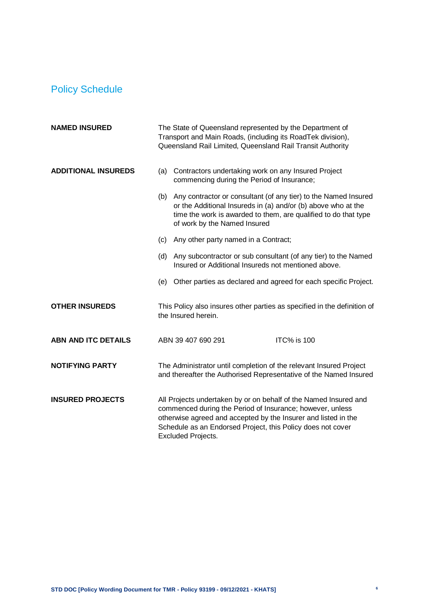# <span id="page-5-0"></span>Policy Schedule

| <b>NAMED INSURED</b>       | The State of Queensland represented by the Department of<br>Transport and Main Roads, (including its RoadTek division),<br>Queensland Rail Limited, Queensland Rail Transit Authority                                                                                                       |  |  |
|----------------------------|---------------------------------------------------------------------------------------------------------------------------------------------------------------------------------------------------------------------------------------------------------------------------------------------|--|--|
| <b>ADDITIONAL INSUREDS</b> | Contractors undertaking work on any Insured Project<br>(a)<br>commencing during the Period of Insurance;                                                                                                                                                                                    |  |  |
|                            | Any contractor or consultant (of any tier) to the Named Insured<br>(b)<br>or the Additional Insureds in (a) and/or (b) above who at the<br>time the work is awarded to them, are qualified to do that type<br>of work by the Named Insured                                                  |  |  |
|                            | Any other party named in a Contract;<br>(c)                                                                                                                                                                                                                                                 |  |  |
|                            | Any subcontractor or sub consultant (of any tier) to the Named<br>(d)<br>Insured or Additional Insureds not mentioned above.                                                                                                                                                                |  |  |
|                            | Other parties as declared and agreed for each specific Project.<br>(e)                                                                                                                                                                                                                      |  |  |
| <b>OTHER INSUREDS</b>      | This Policy also insures other parties as specified in the definition of<br>the Insured herein.                                                                                                                                                                                             |  |  |
| <b>ABN AND ITC DETAILS</b> | <b>ITC% is 100</b><br>ABN 39 407 690 291                                                                                                                                                                                                                                                    |  |  |
| <b>NOTIFYING PARTY</b>     | The Administrator until completion of the relevant Insured Project<br>and thereafter the Authorised Representative of the Named Insured                                                                                                                                                     |  |  |
| <b>INSURED PROJECTS</b>    | All Projects undertaken by or on behalf of the Named Insured and<br>commenced during the Period of Insurance; however, unless<br>otherwise agreed and accepted by the Insurer and listed in the<br>Schedule as an Endorsed Project, this Policy does not cover<br><b>Excluded Projects.</b> |  |  |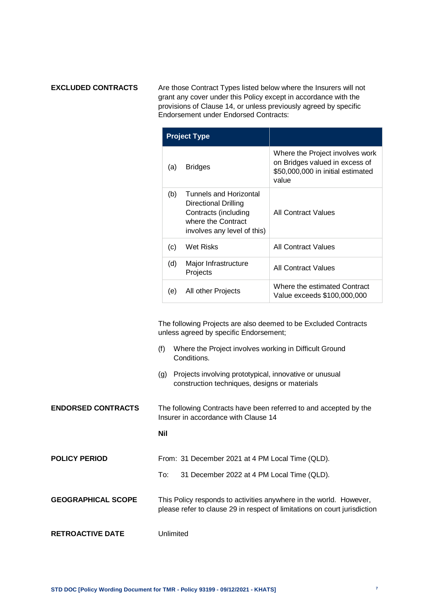**EXCLUDED CONTRACTS** Are those Contract Types listed below where the Insurers will not grant any cover under this Policy except in accordance with the provisions of Clause 14, or unless previously agreed by specific Endorsement under Endorsed Contracts:

| <b>Project Type</b> |                                                                                                                             |                                                                                                                 |
|---------------------|-----------------------------------------------------------------------------------------------------------------------------|-----------------------------------------------------------------------------------------------------------------|
| (a)                 | <b>Bridges</b>                                                                                                              | Where the Project involves work<br>on Bridges valued in excess of<br>\$50,000,000 in initial estimated<br>value |
| (b)                 | Tunnels and Horizontal<br>Directional Drilling<br>Contracts (including<br>where the Contract<br>involves any level of this) | <b>All Contract Values</b>                                                                                      |
| (c)                 | Wet Risks                                                                                                                   | <b>All Contract Values</b>                                                                                      |
| (d)                 | Major Infrastructure<br>Projects                                                                                            | <b>All Contract Values</b>                                                                                      |
| (e)                 | All other Projects                                                                                                          | Where the estimated Contract<br>Value exceeds \$100,000,000                                                     |

The following Projects are also deemed to be Excluded Contracts unless agreed by specific Endorsement;

- (f) Where the Project involves working in Difficult Ground Conditions.
- (g) Projects involving prototypical, innovative or unusual construction techniques, designs or materials

**ENDORSED CONTRACTS** The following Contracts have been referred to and accepted by the Insurer in accordance with Clause 14

#### **Nil**

**POLICY PERIOD** From: 31 December 2021 at 4 PM Local Time (QLD). To: 31 December 2022 at 4 PM Local Time (QLD).

#### **GEOGRAPHICAL SCOPE** This Policy responds to activities anywhere in the world. However, please refer to clause 29 in respect of limitations on court jurisdiction

#### **RETROACTIVE DATE** Unlimited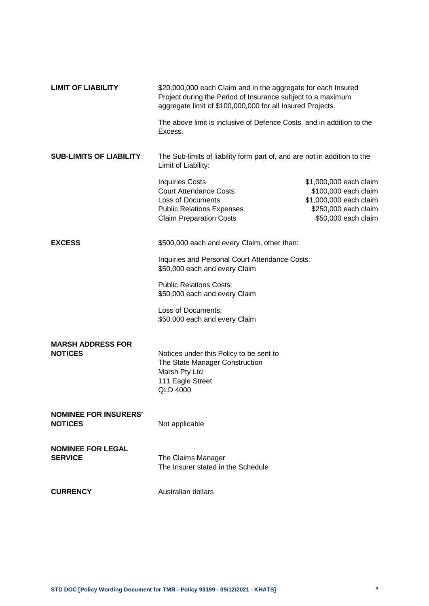| <b>LIMIT OF LIABILITY</b>                                                       | \$20,000,000 each Claim and in the aggregate for each Insured<br>Project during the Period of Insurance subject to a maximum<br>aggregate limit of \$100,000,000 for all Insured Projects. |                                                                                                                         |  |
|---------------------------------------------------------------------------------|--------------------------------------------------------------------------------------------------------------------------------------------------------------------------------------------|-------------------------------------------------------------------------------------------------------------------------|--|
|                                                                                 | The above limit is inclusive of Defence Costs, and in addition to the<br>Excess.                                                                                                           |                                                                                                                         |  |
| <b>SUB-LIMITS OF LIABILITY</b>                                                  | The Sub-limits of liability form part of, and are not in addition to the<br>Limit of Liability:                                                                                            |                                                                                                                         |  |
|                                                                                 | <b>Inquiries Costs</b><br><b>Court Attendance Costs</b><br><b>Loss of Documents</b><br><b>Public Relations Expenses</b><br><b>Claim Preparation Costs</b>                                  | \$1,000,000 each claim<br>\$100,000 each claim<br>\$1,000,000 each claim<br>\$250,000 each claim<br>\$50,000 each claim |  |
| <b>EXCESS</b>                                                                   | \$500,000 each and every Claim, other than:                                                                                                                                                |                                                                                                                         |  |
| Inquiries and Personal Court Attendance Costs:<br>\$50,000 each and every Claim |                                                                                                                                                                                            |                                                                                                                         |  |
|                                                                                 | <b>Public Relations Costs:</b><br>\$50,000 each and every Claim                                                                                                                            |                                                                                                                         |  |
|                                                                                 | Loss of Documents:<br>\$50,000 each and every Claim                                                                                                                                        |                                                                                                                         |  |
| <b>MARSH ADDRESS FOR</b><br><b>NOTICES</b>                                      | Notices under this Policy to be sent to<br>The State Manager Construction<br>Marsh Pty Ltd<br>111 Eagle Street<br><b>QLD 4000</b>                                                          |                                                                                                                         |  |
| <b>NOMINEE FOR INSURERS'</b><br><b>NOTICES</b>                                  | Not applicable                                                                                                                                                                             |                                                                                                                         |  |
| <b>NOMINEE FOR LEGAL</b><br><b>SERVICE</b>                                      | The Claims Manager<br>The Insurer stated in the Schedule                                                                                                                                   |                                                                                                                         |  |
| <b>CURRENCY</b>                                                                 | Australian dollars                                                                                                                                                                         |                                                                                                                         |  |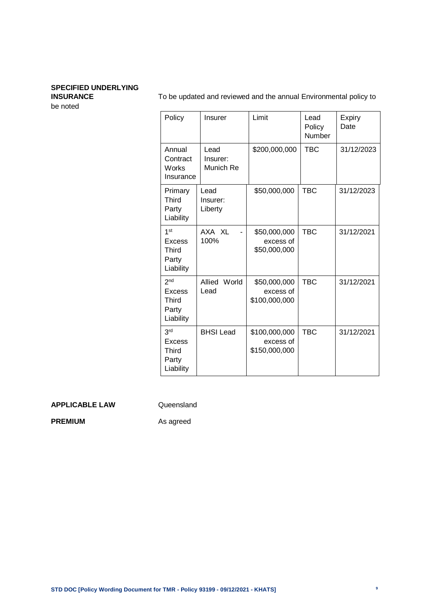# **SPECIFIED UNDERLYING**

be noted

**INSURANCE** To be updated and reviewed and the annual Environmental policy to

| Policy                                                          | Insurer                       | Limit                                       | Lead<br>Policy<br>Number | Expiry<br>Date |
|-----------------------------------------------------------------|-------------------------------|---------------------------------------------|--------------------------|----------------|
| Annual<br>Contract<br>Works<br>Insurance                        | Lead<br>Insurer:<br>Munich Re | \$200,000,000                               | TBC                      | 31/12/2023     |
| Primary<br><b>Third</b><br>Party<br>Liability                   | Lead<br>Insurer:<br>Liberty   | \$50,000,000                                | <b>TBC</b>               | 31/12/2023     |
| 1 <sup>st</sup><br>Excess<br>Third<br>Party<br>Liability        | AXA XL<br>100%                | \$50,000,000<br>excess of<br>\$50,000,000   | <b>TBC</b>               | 31/12/2021     |
| 2 <sub>nd</sub><br>Excess<br><b>Third</b><br>Party<br>Liability | Allied<br>World<br>Lead       | \$50,000,000<br>excess of<br>\$100,000,000  | <b>TBC</b>               | 31/12/2021     |
| 3rd<br>Excess<br><b>Third</b><br>Party<br>Liability             | <b>BHSI Lead</b>              | \$100,000,000<br>excess of<br>\$150,000,000 | <b>TBC</b>               | 31/12/2021     |

#### **APPLICABLE LAW** Queensland

**PREMIUM** As agreed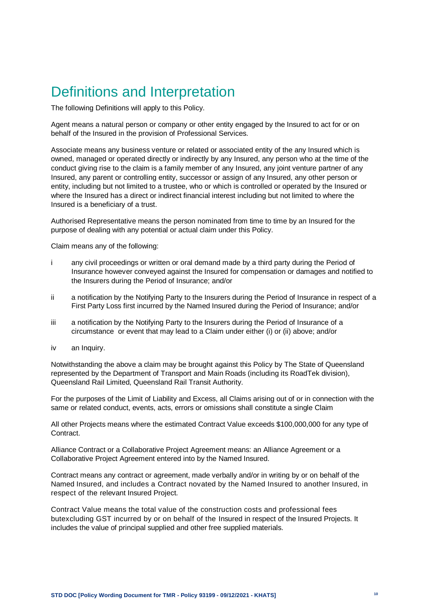# <span id="page-9-0"></span>Definitions and Interpretation

The following Definitions will apply to this Policy.

Agent means a natural person or company or other entity engaged by the Insured to act for or on behalf of the Insured in the provision of Professional Services.

Associate means any business venture or related or associated entity of the any Insured which is owned, managed or operated directly or indirectly by any Insured, any person who at the time of the conduct giving rise to the claim is a family member of any Insured, any joint venture partner of any Insured, any parent or controlling entity, successor or assign of any Insured, any other person or entity, including but not limited to a trustee, who or which is controlled or operated by the Insured or where the Insured has a direct or indirect financial interest including but not limited to where the Insured is a beneficiary of a trust.

Authorised Representative means the person nominated from time to time by an Insured for the purpose of dealing with any potential or actual claim under this Policy.

Claim means any of the following:

- i any civil proceedings or written or oral demand made by a third party during the Period of Insurance however conveyed against the Insured for compensation or damages and notified to the Insurers during the Period of Insurance; and/or
- ii a notification by the Notifying Party to the Insurers during the Period of Insurance in respect of a First Party Loss first incurred by the Named Insured during the Period of Insurance; and/or
- iii a notification by the Notifying Party to the Insurers during the Period of Insurance of a circumstance or event that may lead to a Claim under either (i) or (ii) above; and/or
- iv an Inquiry.

Notwithstanding the above a claim may be brought against this Policy by The State of Queensland represented by the Department of Transport and Main Roads (including its RoadTek division), Queensland Rail Limited, Queensland Rail Transit Authority.

For the purposes of the Limit of Liability and Excess, all Claims arising out of or in connection with the same or related conduct, events, acts, errors or omissions shall constitute a single Claim

All other Projects means where the estimated Contract Value exceeds \$100,000,000 for any type of Contract.

Alliance Contract or a Collaborative Project Agreement means: an Alliance Agreement or a Collaborative Project Agreement entered into by the Named Insured.

Contract means any contract or agreement, made verbally and/or in writing by or on behalf of the Named Insured, and includes a Contract novated by the Named Insured to another Insured, in respect of the relevant Insured Project.

Contract Value means the total value of the construction costs and professional fees butexcluding GST incurred by or on behalf of the Insured in respect of the Insured Projects. It includes the value of principal supplied and other free supplied materials.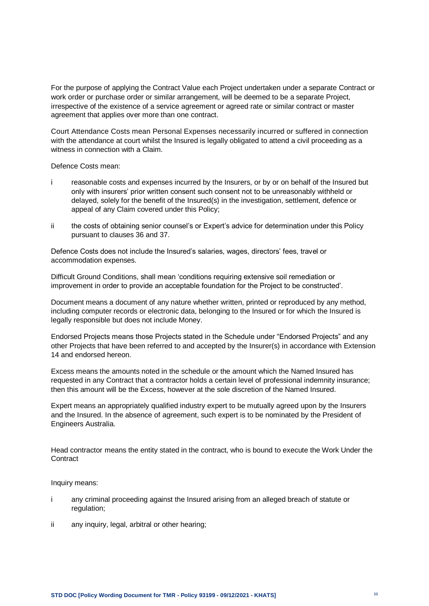For the purpose of applying the Contract Value each Project undertaken under a separate Contract or work order or purchase order or similar arrangement, will be deemed to be a separate Project, irrespective of the existence of a service agreement or agreed rate or similar contract or master agreement that applies over more than one contract.

Court Attendance Costs mean Personal Expenses necessarily incurred or suffered in connection with the attendance at court whilst the Insured is legally obligated to attend a civil proceeding as a witness in connection with a Claim.

Defence Costs mean:

- i reasonable costs and expenses incurred by the Insurers, or by or on behalf of the Insured but only with insurers' prior written consent such consent not to be unreasonably withheld or delayed, solely for the benefit of the Insured(s) in the investigation, settlement, defence or appeal of any Claim covered under this Policy;
- ii the costs of obtaining senior counsel's or Expert's advice for determination under this Policy pursuant to clauses 36 and 37.

Defence Costs does not include the Insured's salaries, wages, directors' fees, travel or accommodation expenses.

Difficult Ground Conditions, shall mean 'conditions requiring extensive soil remediation or improvement in order to provide an acceptable foundation for the Project to be constructed'.

Document means a document of any nature whether written, printed or reproduced by any method, including computer records or electronic data, belonging to the Insured or for which the Insured is legally responsible but does not include Money.

Endorsed Projects means those Projects stated in the Schedule under "Endorsed Projects" and any other Projects that have been referred to and accepted by the Insurer(s) in accordance with Extension 14 and endorsed hereon.

Excess means the amounts noted in the schedule or the amount which the Named Insured has requested in any Contract that a contractor holds a certain level of professional indemnity insurance; then this amount will be the Excess, however at the sole discretion of the Named Insured.

Expert means an appropriately qualified industry expert to be mutually agreed upon by the Insurers and the Insured. In the absence of agreement, such expert is to be nominated by the President of Engineers Australia.

Head contractor means the entity stated in the contract, who is bound to execute the Work Under the **Contract** 

Inquiry means:

- i any criminal proceeding against the Insured arising from an alleged breach of statute or regulation:
- ii any inquiry, legal, arbitral or other hearing;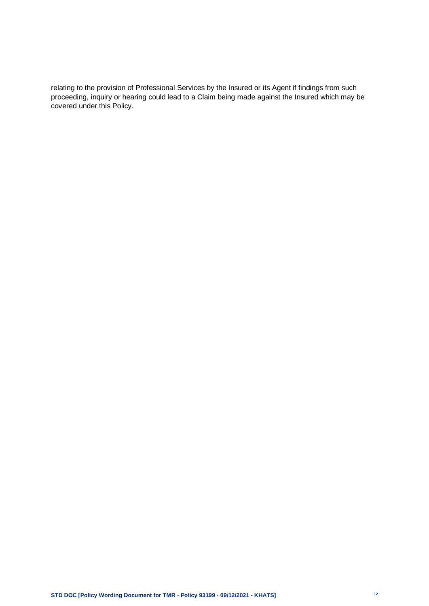relating to the provision of Professional Services by the Insured or its Agent if findings from such proceeding, inquiry or hearing could lead to a Claim being made against the Insured which may be covered under this Policy.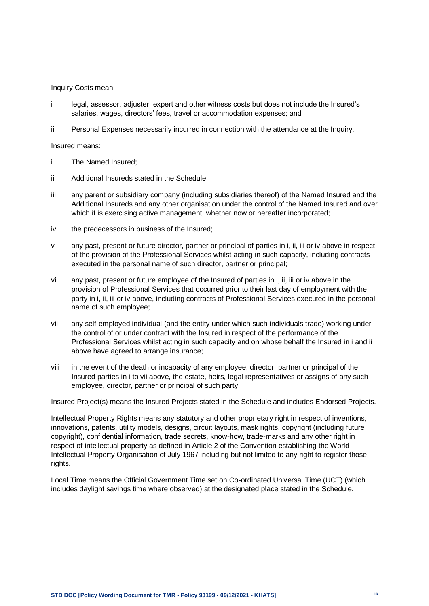Inquiry Costs mean:

- i legal, assessor, adjuster, expert and other witness costs but does not include the Insured's salaries, wages, directors' fees, travel or accommodation expenses; and
- ii Personal Expenses necessarily incurred in connection with the attendance at the Inquiry.

Insured means:

- i The Named Insured;
- ii Additional Insureds stated in the Schedule;
- iii any parent or subsidiary company (including subsidiaries thereof) of the Named Insured and the Additional Insureds and any other organisation under the control of the Named Insured and over which it is exercising active management, whether now or hereafter incorporated;
- iv the predecessors in business of the Insured;
- v any past, present or future director, partner or principal of parties in i, ii, iii or iv above in respect of the provision of the Professional Services whilst acting in such capacity, including contracts executed in the personal name of such director, partner or principal;
- vi any past, present or future employee of the Insured of parties in i, ii, iii or iv above in the provision of Professional Services that occurred prior to their last day of employment with the party in i, ii, iii or iv above, including contracts of Professional Services executed in the personal name of such employee;
- vii any self-employed individual (and the entity under which such individuals trade) working under the control of or under contract with the Insured in respect of the performance of the Professional Services whilst acting in such capacity and on whose behalf the Insured in i and ii above have agreed to arrange insurance;
- viii in the event of the death or incapacity of any employee, director, partner or principal of the Insured parties in i to vii above, the estate, heirs, legal representatives or assigns of any such employee, director, partner or principal of such party.

Insured Project(s) means the Insured Projects stated in the Schedule and includes Endorsed Projects.

Intellectual Property Rights means any statutory and other proprietary right in respect of inventions, innovations, patents, utility models, designs, circuit layouts, mask rights, copyright (including future copyright), confidential information, trade secrets, know-how, trade-marks and any other right in respect of intellectual property as defined in Article 2 of the Convention establishing the World Intellectual Property Organisation of July 1967 including but not limited to any right to register those rights.

Local Time means the Official Government Time set on Co-ordinated Universal Time (UCT) (which includes daylight savings time where observed) at the designated place stated in the Schedule.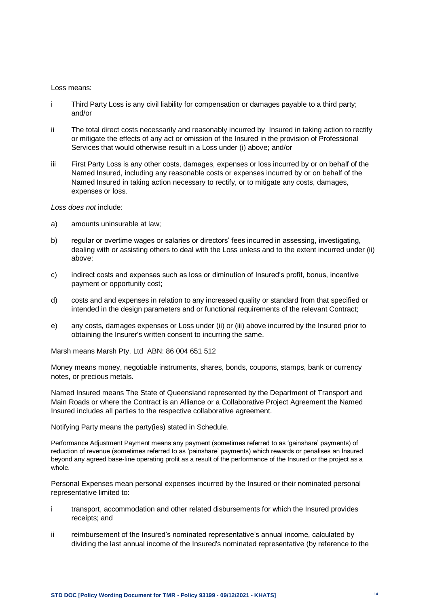#### Loss means:

- i Third Party Loss is any civil liability for compensation or damages payable to a third party; and/or
- ii The total direct costs necessarily and reasonably incurred by Insured in taking action to rectify or mitigate the effects of any act or omission of the Insured in the provision of Professional Services that would otherwise result in a Loss under (i) above; and/or
- iii First Party Loss is any other costs, damages, expenses or loss incurred by or on behalf of the Named Insured, including any reasonable costs or expenses incurred by or on behalf of the Named Insured in taking action necessary to rectify, or to mitigate any costs, damages, expenses or loss.

*Loss does not* include:

- a) amounts uninsurable at law;
- b) regular or overtime wages or salaries or directors' fees incurred in assessing, investigating, dealing with or assisting others to deal with the Loss unless and to the extent incurred under (ii) above;
- c) indirect costs and expenses such as loss or diminution of Insured's profit, bonus, incentive payment or opportunity cost;
- d) costs and and expenses in relation to any increased quality or standard from that specified or intended in the design parameters and or functional requirements of the relevant Contract;
- e) any costs, damages expenses or Loss under (ii) or (iii) above incurred by the Insured prior to obtaining the Insurer's written consent to incurring the same.

Marsh means Marsh Pty. Ltd ABN: 86 004 651 512

Money means money, negotiable instruments, shares, bonds, coupons, stamps, bank or currency notes, or precious metals.

Named Insured means The State of Queensland represented by the Department of Transport and Main Roads or where the Contract is an Alliance or a Collaborative Project Agreement the Named Insured includes all parties to the respective collaborative agreement.

Notifying Party means the party(ies) stated in Schedule.

Performance Adjustment Payment means any payment (sometimes referred to as 'gainshare' payments) of reduction of revenue (sometimes referred to as 'painshare' payments) which rewards or penalises an Insured beyond any agreed base-line operating profit as a result of the performance of the Insured or the project as a whole.

Personal Expenses mean personal expenses incurred by the Insured or their nominated personal representative limited to:

- i transport, accommodation and other related disbursements for which the Insured provides receipts; and
- ii reimbursement of the Insured's nominated representative's annual income, calculated by dividing the last annual income of the Insured's nominated representative (by reference to the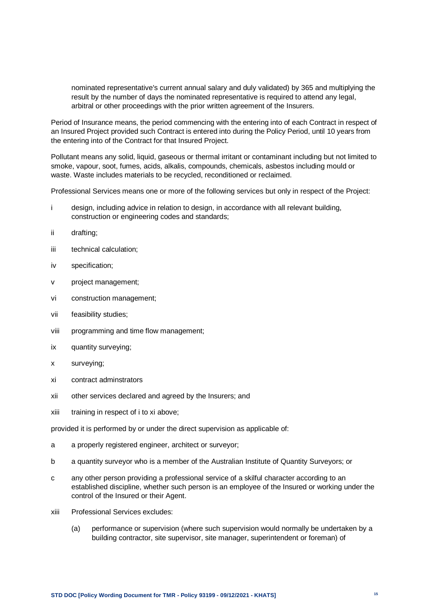nominated representative's current annual salary and duly validated) by 365 and multiplying the result by the number of days the nominated representative is required to attend any legal, arbitral or other proceedings with the prior written agreement of the Insurers.

Period of Insurance means, the period commencing with the entering into of each Contract in respect of an Insured Project provided such Contract is entered into during the Policy Period, until 10 years from the entering into of the Contract for that Insured Project.

Pollutant means any solid, liquid, gaseous or thermal irritant or contaminant including but not limited to smoke, vapour, soot, fumes, acids, alkalis, compounds, chemicals, asbestos including mould or waste. Waste includes materials to be recycled, reconditioned or reclaimed.

Professional Services means one or more of the following services but only in respect of the Project:

- i design, including advice in relation to design, in accordance with all relevant building, construction or engineering codes and standards;
- ii drafting;
- iii technical calculation;
- iv specification;
- v project management;
- vi construction management;
- vii feasibility studies;
- viii programming and time flow management;
- ix quantity surveying;
- x surveying;
- xi contract adminstrators
- xii other services declared and agreed by the Insurers; and
- xiii training in respect of i to xi above;

provided it is performed by or under the direct supervision as applicable of:

- a a properly registered engineer, architect or surveyor;
- b a quantity surveyor who is a member of the Australian Institute of Quantity Surveyors; or
- c any other person providing a professional service of a skilful character according to an established discipline, whether such person is an employee of the Insured or working under the control of the Insured or their Agent.
- xiii Professional Services excludes:
	- (a) performance or supervision (where such supervision would normally be undertaken by a building contractor, site supervisor, site manager, superintendent or foreman) of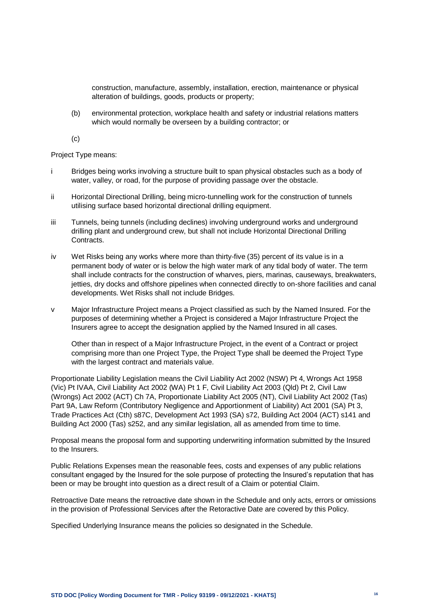construction, manufacture, assembly, installation, erection, maintenance or physical alteration of buildings, goods, products or property;

(b) environmental protection, workplace health and safety or industrial relations matters which would normally be overseen by a building contractor; or

(c)

Project Type means:

- i Bridges being works involving a structure built to span physical obstacles such as a body of water, valley, or road, for the purpose of providing passage over the obstacle.
- ii Horizontal Directional Drilling, being micro-tunnelling work for the construction of tunnels utilising surface based horizontal directional drilling equipment.
- iii Tunnels, being tunnels (including declines) involving underground works and underground drilling plant and underground crew, but shall not include Horizontal Directional Drilling Contracts.
- iv Wet Risks being any works where more than thirty-five (35) percent of its value is in a permanent body of water or is below the high water mark of any tidal body of water. The term shall include contracts for the construction of wharves, piers, marinas, causeways, breakwaters, jetties, dry docks and offshore pipelines when connected directly to on-shore facilities and canal developments. Wet Risks shall not include Bridges.
- v Major Infrastructure Project means a Project classified as such by the Named Insured. For the purposes of determining whether a Project is considered a Major Infrastructure Project the Insurers agree to accept the designation applied by the Named Insured in all cases.

Other than in respect of a Major Infrastructure Project, in the event of a Contract or project comprising more than one Project Type, the Project Type shall be deemed the Project Type with the largest contract and materials value.

Proportionate Liability Legislation means the Civil Liability Act 2002 (NSW) Pt 4, Wrongs Act 1958 (Vic) Pt IVAA, Civil Liability Act 2002 (WA) Pt 1 F, Civil Liability Act 2003 (Qld) Pt 2, Civil Law (Wrongs) Act 2002 (ACT) Ch 7A, Proportionate Liability Act 2005 (NT), Civil Liability Act 2002 (Tas) Part 9A, Law Reform (Contributory Negligence and Apportionment of Liability) Act 2001 (SA) Pt 3, Trade Practices Act (Cth) s87C, Development Act 1993 (SA) s72, Building Act 2004 (ACT) s141 and Building Act 2000 (Tas) s252, and any similar legislation, all as amended from time to time.

Proposal means the proposal form and supporting underwriting information submitted by the Insured to the Insurers.

Public Relations Expenses mean the reasonable fees, costs and expenses of any public relations consultant engaged by the Insured for the sole purpose of protecting the Insured's reputation that has been or may be brought into question as a direct result of a Claim or potential Claim.

Retroactive Date means the retroactive date shown in the Schedule and only acts, errors or omissions in the provision of Professional Services after the Retoractive Date are covered by this Policy.

Specified Underlying Insurance means the policies so designated in the Schedule.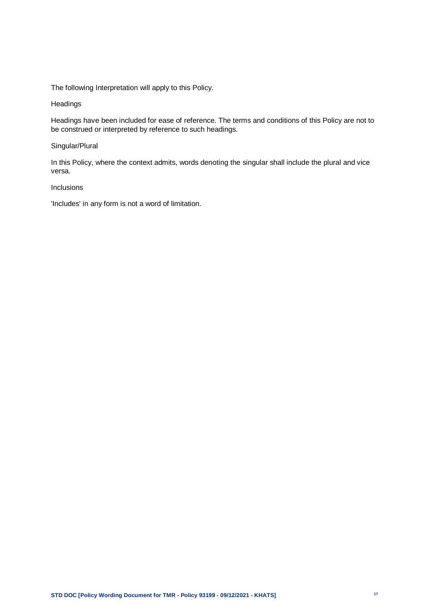The following Interpretation will apply to this Policy.

#### Headings

Headings have been included for ease of reference. The terms and conditions of this Policy are not to be construed or interpreted by reference to such headings.

#### Singular/Plural

In this Policy, where the context admits, words denoting the singular shall include the plural and vice versa.

#### Inclusions

'Includes' in any form is not a word of limitation.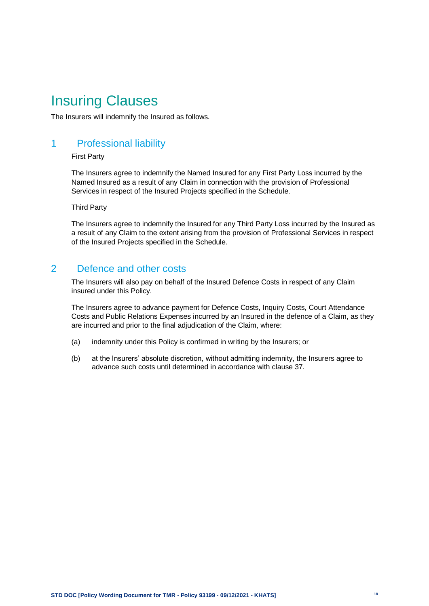# <span id="page-17-0"></span>Insuring Clauses

The Insurers will indemnify the Insured as follows.

# <span id="page-17-1"></span>1 Professional liability

#### First Party

The Insurers agree to indemnify the Named Insured for any First Party Loss incurred by the Named Insured as a result of any Claim in connection with the provision of Professional Services in respect of the Insured Projects specified in the Schedule.

Third Party

The Insurers agree to indemnify the Insured for any Third Party Loss incurred by the Insured as a result of any Claim to the extent arising from the provision of Professional Services in respect of the Insured Projects specified in the Schedule.

# <span id="page-17-2"></span>2 Defence and other costs

The Insurers will also pay on behalf of the Insured Defence Costs in respect of any Claim insured under this Policy.

The Insurers agree to advance payment for Defence Costs, Inquiry Costs, Court Attendance Costs and Public Relations Expenses incurred by an Insured in the defence of a Claim, as they are incurred and prior to the final adjudication of the Claim, where:

- (a) indemnity under this Policy is confirmed in writing by the Insurers; or
- (b) at the Insurers' absolute discretion, without admitting indemnity, the Insurers agree to advance such costs until determined in accordance with clause 37.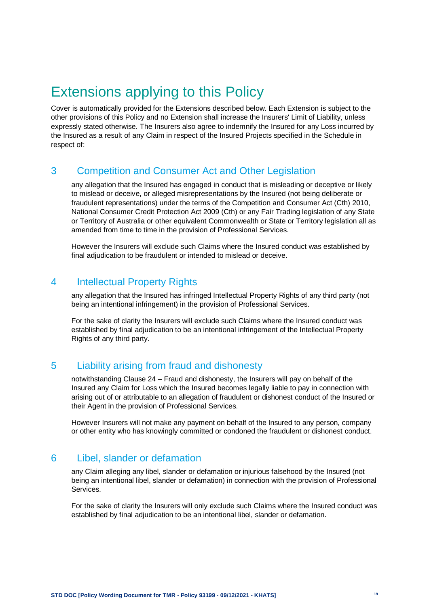# <span id="page-18-0"></span>Extensions applying to this Policy

Cover is automatically provided for the Extensions described below. Each Extension is subject to the other provisions of this Policy and no Extension shall increase the Insurers' Limit of Liability, unless expressly stated otherwise. The Insurers also agree to indemnify the Insured for any Loss incurred by the Insured as a result of any Claim in respect of the Insured Projects specified in the Schedule in respect of:

# <span id="page-18-1"></span>3 Competition and Consumer Act and Other Legislation

any allegation that the Insured has engaged in conduct that is misleading or deceptive or likely to mislead or deceive, or alleged misrepresentations by the Insured (not being deliberate or fraudulent representations) under the terms of the Competition and Consumer Act (Cth) 2010, National Consumer Credit Protection Act 2009 (Cth) or any Fair Trading legislation of any State or Territory of Australia or other equivalent Commonwealth or State or Territory legislation all as amended from time to time in the provision of Professional Services.

However the Insurers will exclude such Claims where the Insured conduct was established by final adjudication to be fraudulent or intended to mislead or deceive.

# <span id="page-18-2"></span>4 Intellectual Property Rights

any allegation that the Insured has infringed Intellectual Property Rights of any third party (not being an intentional infringement) in the provision of Professional Services.

For the sake of clarity the Insurers will exclude such Claims where the Insured conduct was established by final adjudication to be an intentional infringement of the Intellectual Property Rights of any third party.

# <span id="page-18-3"></span>5 Liability arising from fraud and dishonesty

notwithstanding Clause 24 – Fraud and dishonesty, the Insurers will pay on behalf of the Insured any Claim for Loss which the Insured becomes legally liable to pay in connection with arising out of or attributable to an allegation of fraudulent or dishonest conduct of the Insured or their Agent in the provision of Professional Services.

However Insurers will not make any payment on behalf of the Insured to any person, company or other entity who has knowingly committed or condoned the fraudulent or dishonest conduct.

# <span id="page-18-4"></span>6 Libel, slander or defamation

any Claim alleging any libel, slander or defamation or injurious falsehood by the Insured (not being an intentional libel, slander or defamation) in connection with the provision of Professional Services.

For the sake of clarity the Insurers will only exclude such Claims where the Insured conduct was established by final adjudication to be an intentional libel, slander or defamation.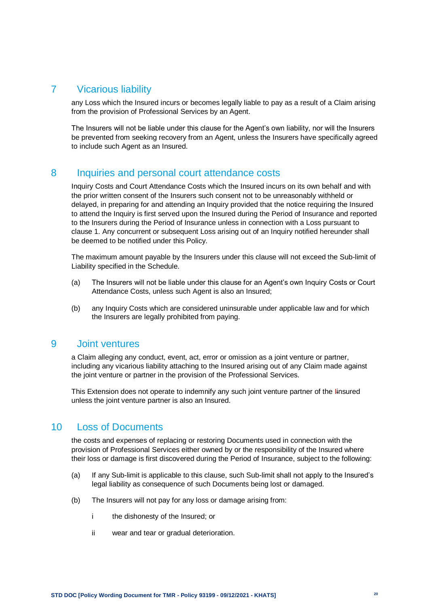# <span id="page-19-0"></span>7 Vicarious liability

any Loss which the Insured incurs or becomes legally liable to pay as a result of a Claim arising from the provision of Professional Services by an Agent.

The Insurers will not be liable under this clause for the Agent's own liability, nor will the Insurers be prevented from seeking recovery from an Agent, unless the Insurers have specifically agreed to include such Agent as an Insured.

#### <span id="page-19-1"></span>8 Inquiries and personal court attendance costs

Inquiry Costs and Court Attendance Costs which the Insured incurs on its own behalf and with the prior written consent of the Insurers such consent not to be unreasonably withheld or delayed, in preparing for and attending an Inquiry provided that the notice requiring the Insured to attend the Inquiry is first served upon the Insured during the Period of Insurance and reported to the Insurers during the Period of Insurance unless in connection with a Loss pursuant to clause 1. Any concurrent or subsequent Loss arising out of an Inquiry notified hereunder shall be deemed to be notified under this Policy.

The maximum amount payable by the Insurers under this clause will not exceed the Sub-limit of Liability specified in the Schedule.

- (a) The Insurers will not be liable under this clause for an Agent's own Inquiry Costs or Court Attendance Costs, unless such Agent is also an Insured;
- (b) any Inquiry Costs which are considered uninsurable under applicable law and for which the Insurers are legally prohibited from paying.

#### <span id="page-19-2"></span>9 Joint ventures

a Claim alleging any conduct, event, act, error or omission as a joint venture or partner, including any vicarious liability attaching to the Insured arising out of any Claim made against the joint venture or partner in the provision of the Professional Services.

This Extension does not operate to indemnify any such joint venture partner of the linsured unless the joint venture partner is also an Insured.

#### <span id="page-19-3"></span>10 Loss of Documents

the costs and expenses of replacing or restoring Documents used in connection with the provision of Professional Services either owned by or the responsibility of the Insured where their loss or damage is first discovered during the Period of Insurance, subject to the following:

- (a) If any Sub-limit is applicable to this clause, such Sub-limit shall not apply to the Insured's legal liability as consequence of such Documents being lost or damaged.
- (b) The Insurers will not pay for any loss or damage arising from:
	- i the dishonesty of the Insured; or
	- ii wear and tear or gradual deterioration.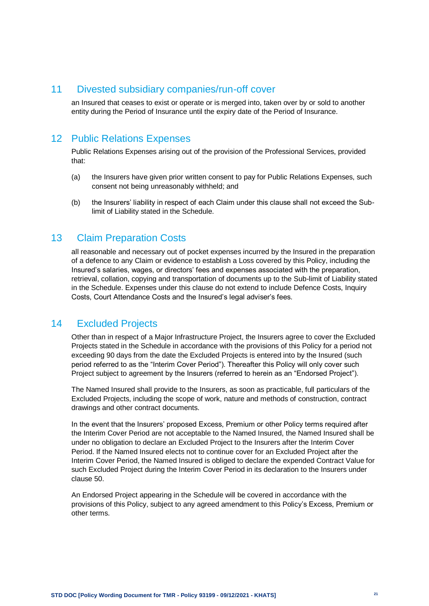### <span id="page-20-0"></span>11 Divested subsidiary companies/run-off cover

an Insured that ceases to exist or operate or is merged into, taken over by or sold to another entity during the Period of Insurance until the expiry date of the Period of Insurance.

# <span id="page-20-1"></span>12 Public Relations Expenses

Public Relations Expenses arising out of the provision of the Professional Services, provided that:

- (a) the Insurers have given prior written consent to pay for Public Relations Expenses, such consent not being unreasonably withheld; and
- (b) the Insurers' liability in respect of each Claim under this clause shall not exceed the Sublimit of Liability stated in the Schedule.

### <span id="page-20-2"></span>13 Claim Preparation Costs

all reasonable and necessary out of pocket expenses incurred by the Insured in the preparation of a defence to any Claim or evidence to establish a Loss covered by this Policy, including the Insured's salaries, wages, or directors' fees and expenses associated with the preparation, retrieval, collation, copying and transportation of documents up to the Sub-limit of Liability stated in the Schedule. Expenses under this clause do not extend to include Defence Costs, Inquiry Costs, Court Attendance Costs and the Insured's legal adviser's fees.

### <span id="page-20-3"></span>14 Excluded Projects

Other than in respect of a Major Infrastructure Project, the Insurers agree to cover the Excluded Projects stated in the Schedule in accordance with the provisions of this Policy for a period not exceeding 90 days from the date the Excluded Projects is entered into by the Insured (such period referred to as the "Interim Cover Period"). Thereafter this Policy will only cover such Project subject to agreement by the Insurers (referred to herein as an "Endorsed Project").

The Named Insured shall provide to the Insurers, as soon as practicable, full particulars of the Excluded Projects, including the scope of work, nature and methods of construction, contract drawings and other contract documents.

In the event that the Insurers' proposed Excess, Premium or other Policy terms required after the Interim Cover Period are not acceptable to the Named Insured, the Named Insured shall be under no obligation to declare an Excluded Project to the Insurers after the Interim Cover Period. If the Named Insured elects not to continue cover for an Excluded Project after the Interim Cover Period, the Named Insured is obliged to declare the expended Contract Value for such Excluded Project during the Interim Cover Period in its declaration to the Insurers under clause 50.

An Endorsed Project appearing in the Schedule will be covered in accordance with the provisions of this Policy, subject to any agreed amendment to this Policy's Excess, Premium or other terms.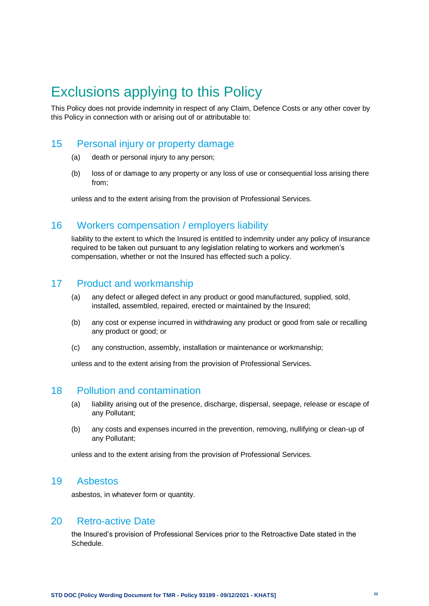# <span id="page-21-0"></span>Exclusions applying to this Policy

This Policy does not provide indemnity in respect of any Claim, Defence Costs or any other cover by this Policy in connection with or arising out of or attributable to:

# <span id="page-21-1"></span>15 Personal injury or property damage

- (a) death or personal injury to any person;
- (b) loss of or damage to any property or any loss of use or consequential loss arising there from;

unless and to the extent arising from the provision of Professional Services.

# <span id="page-21-2"></span>16 Workers compensation / employers liability

liability to the extent to which the Insured is entitled to indemnity under any policy of insurance required to be taken out pursuant to any legislation relating to workers and workmen's compensation, whether or not the Insured has effected such a policy.

# <span id="page-21-3"></span>17 Product and workmanship

- (a) any defect or alleged defect in any product or good manufactured, supplied, sold, installed, assembled, repaired, erected or maintained by the Insured;
- (b) any cost or expense incurred in withdrawing any product or good from sale or recalling any product or good; or
- (c) any construction, assembly, installation or maintenance or workmanship;

unless and to the extent arising from the provision of Professional Services.

# <span id="page-21-4"></span>18 Pollution and contamination

- (a) liability arising out of the presence, discharge, dispersal, seepage, release or escape of any Pollutant;
- (b) any costs and expenses incurred in the prevention, removing, nullifying or clean-up of any Pollutant;

unless and to the extent arising from the provision of Professional Services.

# <span id="page-21-5"></span>19 Asbestos

asbestos, in whatever form or quantity.

# <span id="page-21-6"></span>20 Retro-active Date

the Insured's provision of Professional Services prior to the Retroactive Date stated in the Schedule.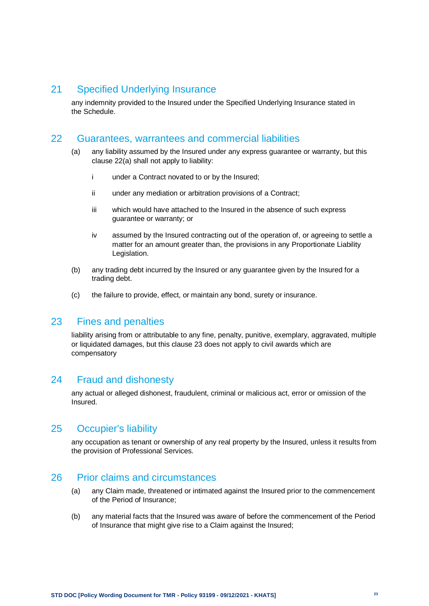### <span id="page-22-0"></span>21 Specified Underlying Insurance

any indemnity provided to the Insured under the Specified Underlying Insurance stated in the Schedule.

#### <span id="page-22-1"></span>22 Guarantees, warrantees and commercial liabilities

- (a) any liability assumed by the Insured under any express guarantee or warranty, but this clause 22(a) shall not apply to liability:
	- i under a Contract novated to or by the Insured;
	- ii under any mediation or arbitration provisions of a Contract;
	- iii which would have attached to the Insured in the absence of such express guarantee or warranty; or
	- iv assumed by the Insured contracting out of the operation of, or agreeing to settle a matter for an amount greater than, the provisions in any Proportionate Liability Legislation.
- (b) any trading debt incurred by the Insured or any guarantee given by the Insured for a trading debt.
- (c) the failure to provide, effect, or maintain any bond, surety or insurance.

### <span id="page-22-2"></span>23 Fines and penalties

liability arising from or attributable to any fine, penalty, punitive, exemplary, aggravated, multiple or liquidated damages, but this clause 23 does not apply to civil awards which are compensatory

#### <span id="page-22-3"></span>24 Fraud and dishonesty

any actual or alleged dishonest, fraudulent, criminal or malicious act, error or omission of the Insured.

#### <span id="page-22-4"></span>25 Occupier's liability

any occupation as tenant or ownership of any real property by the Insured, unless it results from the provision of Professional Services.

#### <span id="page-22-5"></span>26 Prior claims and circumstances

- (a) any Claim made, threatened or intimated against the Insured prior to the commencement of the Period of Insurance;
- (b) any material facts that the Insured was aware of before the commencement of the Period of Insurance that might give rise to a Claim against the Insured;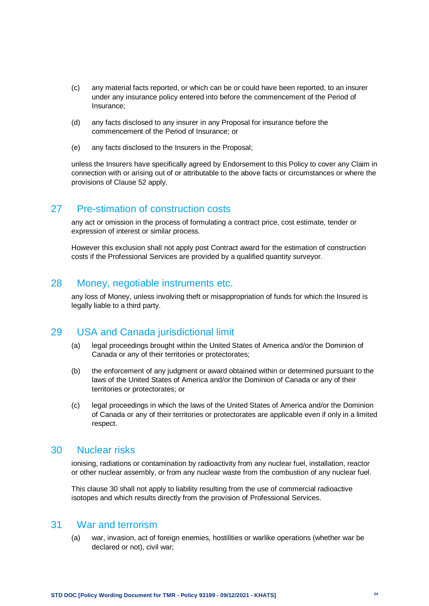- (c) any material facts reported, or which can be or could have been reported, to an insurer under any insurance policy entered into before the commencement of the Period of Insurance;
- (d) any facts disclosed to any insurer in any Proposal for insurance before the commencement of the Period of Insurance; or
- (e) any facts disclosed to the Insurers in the Proposal;

unless the Insurers have specifically agreed by Endorsement to this Policy to cover any Claim in connection with or arising out of or attributable to the above facts or circumstances or where the provisions of Clause 52 apply.

# <span id="page-23-0"></span>27 Pre-stimation of construction costs

any act or omission in the process of formulating a contract price, cost estimate, tender or expression of interest or similar process.

However this exclusion shall not apply post Contract award for the estimation of construction costs if the Professional Services are provided by a qualified quantity surveyor.

### <span id="page-23-1"></span>28 Money, negotiable instruments etc.

any loss of Money, unless involving theft or misappropriation of funds for which the Insured is legally liable to a third party.

#### <span id="page-23-2"></span>29 USA and Canada jurisdictional limit

- (a) legal proceedings brought within the United States of America and/or the Dominion of Canada or any of their territories or protectorates;
- (b) the enforcement of any judgment or award obtained within or determined pursuant to the laws of the United States of America and/or the Dominion of Canada or any of their territories or protectorates; or
- (c) legal proceedings in which the laws of the United States of America and/or the Dominion of Canada or any of their territories or protectorates are applicable even if only in a limited respect.

#### <span id="page-23-3"></span>30 Nuclear risks

ionising, radiations or contamination by radioactivity from any nuclear fuel, installation, reactor or other nuclear assembly, or from any nuclear waste from the combustion of any nuclear fuel.

This clause 30 shall not apply to liability resulting from the use of commercial radioactive isotopes and which results directly from the provision of Professional Services.

### <span id="page-23-4"></span>31 War and terrorism

(a) war, invasion, act of foreign enemies, hostilities or warlike operations (whether war be declared or not), civil war;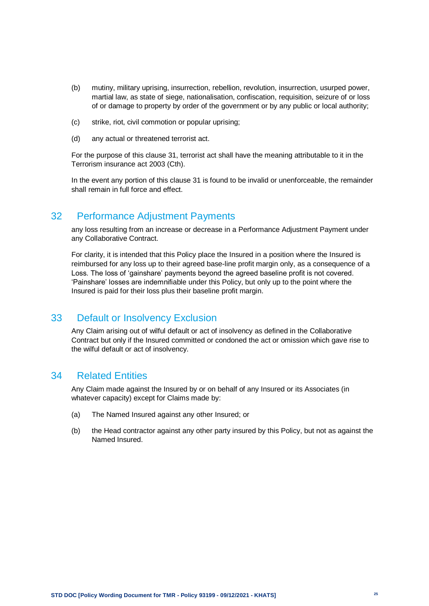- (b) mutiny, military uprising, insurrection, rebellion, revolution, insurrection, usurped power, martial law, as state of siege, nationalisation, confiscation, requisition, seizure of or loss of or damage to property by order of the government or by any public or local authority;
- (c) strike, riot, civil commotion or popular uprising;
- (d) any actual or threatened terrorist act.

For the purpose of this clause 31, terrorist act shall have the meaning attributable to it in the Terrorism insurance act 2003 (Cth).

In the event any portion of this clause 31 is found to be invalid or unenforceable, the remainder shall remain in full force and effect.

#### <span id="page-24-0"></span>32 Performance Adjustment Payments

any loss resulting from an increase or decrease in a Performance Adjustment Payment under any Collaborative Contract.

For clarity, it is intended that this Policy place the Insured in a position where the Insured is reimbursed for any loss up to their agreed base-line profit margin only, as a consequence of a Loss. The loss of 'gainshare' payments beyond the agreed baseline profit is not covered. 'Painshare' losses are indemnifiable under this Policy, but only up to the point where the Insured is paid for their loss plus their baseline profit margin.

#### <span id="page-24-1"></span>33 Default or Insolvency Exclusion

Any Claim arising out of wilful default or act of insolvency as defined in the Collaborative Contract but only if the Insured committed or condoned the act or omission which gave rise to the wilful default or act of insolvency.

### <span id="page-24-2"></span>34 Related Entities

Any Claim made against the Insured by or on behalf of any Insured or its Associates (in whatever capacity) except for Claims made by:

- (a) The Named Insured against any other Insured; or
- (b) the Head contractor against any other party insured by this Policy, but not as against the Named Insured.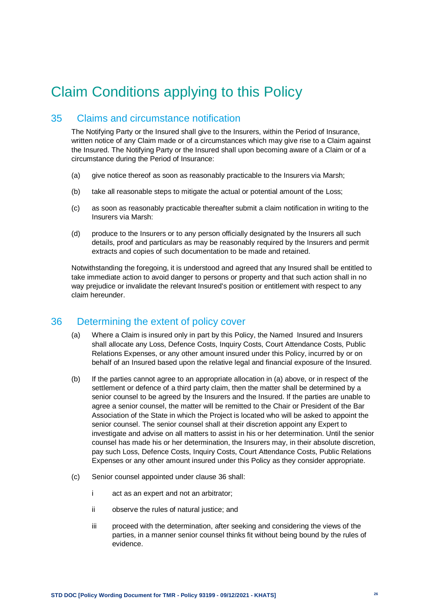# <span id="page-25-0"></span>Claim Conditions applying to this Policy

# <span id="page-25-1"></span>35 Claims and circumstance notification

The Notifying Party or the Insured shall give to the Insurers, within the Period of Insurance, written notice of any Claim made or of a circumstances which may give rise to a Claim against the Insured. The Notifying Party or the Insured shall upon becoming aware of a Claim or of a circumstance during the Period of Insurance:

- (a) give notice thereof as soon as reasonably practicable to the Insurers via Marsh;
- (b) take all reasonable steps to mitigate the actual or potential amount of the Loss;
- (c) as soon as reasonably practicable thereafter submit a claim notification in writing to the Insurers via Marsh:
- (d) produce to the Insurers or to any person officially designated by the Insurers all such details, proof and particulars as may be reasonably required by the Insurers and permit extracts and copies of such documentation to be made and retained.

Notwithstanding the foregoing, it is understood and agreed that any Insured shall be entitled to take immediate action to avoid danger to persons or property and that such action shall in no way prejudice or invalidate the relevant Insured's position or entitlement with respect to any claim hereunder.

# <span id="page-25-2"></span>36 Determining the extent of policy cover

- (a) Where a Claim is insured only in part by this Policy, the Named Insured and Insurers shall allocate any Loss, Defence Costs, Inquiry Costs, Court Attendance Costs, Public Relations Expenses, or any other amount insured under this Policy, incurred by or on behalf of an Insured based upon the relative legal and financial exposure of the Insured.
- (b) If the parties cannot agree to an appropriate allocation in (a) above, or in respect of the settlement or defence of a third party claim, then the matter shall be determined by a senior counsel to be agreed by the Insurers and the Insured. If the parties are unable to agree a senior counsel, the matter will be remitted to the Chair or President of the Bar Association of the State in which the Project is located who will be asked to appoint the senior counsel. The senior counsel shall at their discretion appoint any Expert to investigate and advise on all matters to assist in his or her determination. Until the senior counsel has made his or her determination, the Insurers may, in their absolute discretion, pay such Loss, Defence Costs, Inquiry Costs, Court Attendance Costs, Public Relations Expenses or any other amount insured under this Policy as they consider appropriate.
- (c) Senior counsel appointed under clause 36 shall:
	- i act as an expert and not an arbitrator;
	- ii observe the rules of natural justice; and
	- iii proceed with the determination, after seeking and considering the views of the parties, in a manner senior counsel thinks fit without being bound by the rules of evidence.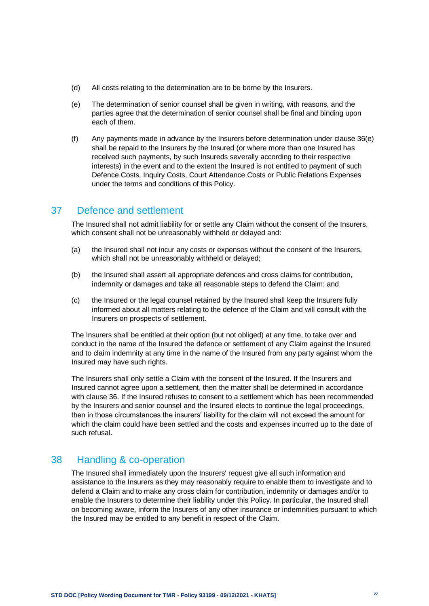- (d) All costs relating to the determination are to be borne by the Insurers.
- (e) The determination of senior counsel shall be given in writing, with reasons, and the parties agree that the determination of senior counsel shall be final and binding upon each of them.
- (f) Any payments made in advance by the Insurers before determination under clause 36(e) shall be repaid to the Insurers by the Insured (or where more than one Insured has received such payments, by such Insureds severally according to their respective interests) in the event and to the extent the Insured is not entitled to payment of such Defence Costs, Inquiry Costs, Court Attendance Costs or Public Relations Expenses under the terms and conditions of this Policy.

### <span id="page-26-0"></span>37 Defence and settlement

The Insured shall not admit liability for or settle any Claim without the consent of the Insurers, which consent shall not be unreasonably withheld or delayed and:

- (a) the Insured shall not incur any costs or expenses without the consent of the Insurers, which shall not be unreasonably withheld or delayed;
- (b) the Insured shall assert all appropriate defences and cross claims for contribution, indemnity or damages and take all reasonable steps to defend the Claim; and
- (c) the Insured or the legal counsel retained by the Insured shall keep the Insurers fully informed about all matters relating to the defence of the Claim and will consult with the Insurers on prospects of settlement.

The Insurers shall be entitled at their option (but not obliged) at any time, to take over and conduct in the name of the Insured the defence or settlement of any Claim against the Insured and to claim indemnity at any time in the name of the Insured from any party against whom the Insured may have such rights.

The Insurers shall only settle a Claim with the consent of the Insured. If the Insurers and Insured cannot agree upon a settlement, then the matter shall be determined in accordance with clause 36. If the Insured refuses to consent to a settlement which has been recommended by the Insurers and senior counsel and the Insured elects to continue the legal proceedings, then in those circumstances the insurers' liability for the claim will not exceed the amount for which the claim could have been settled and the costs and expenses incurred up to the date of such refusal.

# <span id="page-26-1"></span>38 Handling & co-operation

The Insured shall immediately upon the Insurers' request give all such information and assistance to the Insurers as they may reasonably require to enable them to investigate and to defend a Claim and to make any cross claim for contribution, indemnity or damages and/or to enable the Insurers to determine their liability under this Policy. In particular, the Insured shall on becoming aware, inform the Insurers of any other insurance or indemnities pursuant to which the Insured may be entitled to any benefit in respect of the Claim.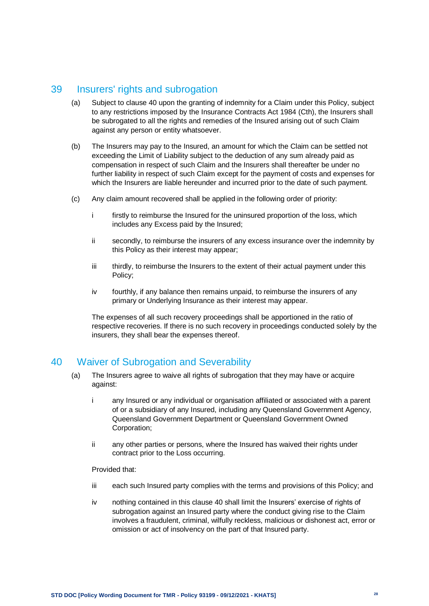# <span id="page-27-0"></span>39 Insurers' rights and subrogation

- (a) Subject to clause 40 upon the granting of indemnity for a Claim under this Policy, subject to any restrictions imposed by the Insurance Contracts Act 1984 (Cth), the Insurers shall be subrogated to all the rights and remedies of the Insured arising out of such Claim against any person or entity whatsoever.
- (b) The Insurers may pay to the Insured, an amount for which the Claim can be settled not exceeding the Limit of Liability subject to the deduction of any sum already paid as compensation in respect of such Claim and the Insurers shall thereafter be under no further liability in respect of such Claim except for the payment of costs and expenses for which the Insurers are liable hereunder and incurred prior to the date of such payment.
- (c) Any claim amount recovered shall be applied in the following order of priority:
	- i firstly to reimburse the Insured for the uninsured proportion of the loss, which includes any Excess paid by the Insured;
	- ii secondly, to reimburse the insurers of any excess insurance over the indemnity by this Policy as their interest may appear;
	- iii thirdly, to reimburse the Insurers to the extent of their actual payment under this Policy;
	- iv fourthly, if any balance then remains unpaid, to reimburse the insurers of any primary or Underlying Insurance as their interest may appear.

The expenses of all such recovery proceedings shall be apportioned in the ratio of respective recoveries. If there is no such recovery in proceedings conducted solely by the insurers, they shall bear the expenses thereof.

# <span id="page-27-1"></span>40 Waiver of Subrogation and Severability

- (a) The Insurers agree to waive all rights of subrogation that they may have or acquire against:
	- i any Insured or any individual or organisation affiliated or associated with a parent of or a subsidiary of any Insured, including any Queensland Government Agency, Queensland Government Department or Queensland Government Owned Corporation;
	- ii any other parties or persons, where the Insured has waived their rights under contract prior to the Loss occurring.

Provided that:

- iii each such Insured party complies with the terms and provisions of this Policy; and
- iv nothing contained in this clause 40 shall limit the Insurers' exercise of rights of subrogation against an Insured party where the conduct giving rise to the Claim involves a fraudulent, criminal, wilfully reckless, malicious or dishonest act, error or omission or act of insolvency on the part of that Insured party.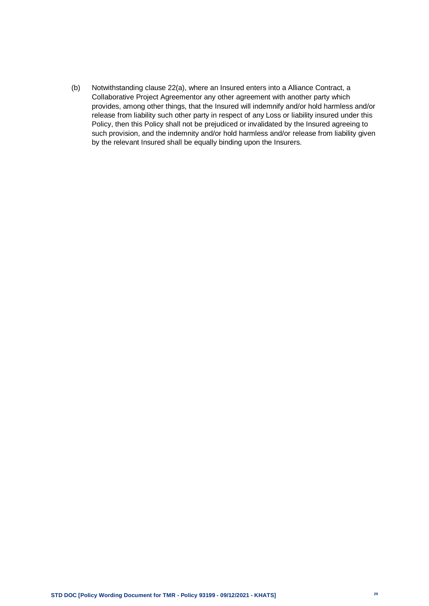(b) Notwithstanding clause 22(a), where an Insured enters into a Alliance Contract, a Collaborative Project Agreementor any other agreement with another party which provides, among other things, that the Insured will indemnify and/or hold harmless and/or release from liability such other party in respect of any Loss or liability insured under this Policy, then this Policy shall not be prejudiced or invalidated by the Insured agreeing to such provision, and the indemnity and/or hold harmless and/or release from liability given by the relevant Insured shall be equally binding upon the Insurers.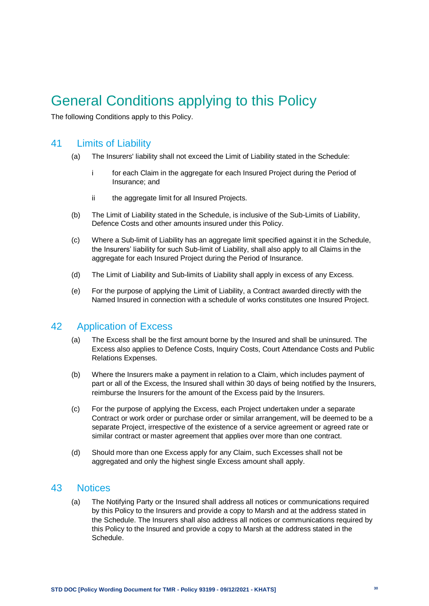# <span id="page-29-0"></span>General Conditions applying to this Policy

The following Conditions apply to this Policy.

### <span id="page-29-1"></span>41 Limits of Liability

- (a) The Insurers' liability shall not exceed the Limit of Liability stated in the Schedule:
	- i for each Claim in the aggregate for each Insured Project during the Period of Insurance; and
	- ii the aggregate limit for all Insured Projects.
- (b) The Limit of Liability stated in the Schedule, is inclusive of the Sub-Limits of Liability, Defence Costs and other amounts insured under this Policy.
- (c) Where a Sub-limit of Liability has an aggregate limit specified against it in the Schedule, the Insurers' liability for such Sub-limit of Liability, shall also apply to all Claims in the aggregate for each Insured Project during the Period of Insurance.
- (d) The Limit of Liability and Sub-limits of Liability shall apply in excess of any Excess.
- (e) For the purpose of applying the Limit of Liability, a Contract awarded directly with the Named Insured in connection with a schedule of works constitutes one Insured Project.

# <span id="page-29-2"></span>42 Application of Excess

- (a) The Excess shall be the first amount borne by the Insured and shall be uninsured. The Excess also applies to Defence Costs, Inquiry Costs, Court Attendance Costs and Public Relations Expenses.
- (b) Where the Insurers make a payment in relation to a Claim, which includes payment of part or all of the Excess, the Insured shall within 30 days of being notified by the Insurers, reimburse the Insurers for the amount of the Excess paid by the Insurers.
- (c) For the purpose of applying the Excess, each Project undertaken under a separate Contract or work order or purchase order or similar arrangement, will be deemed to be a separate Project, irrespective of the existence of a service agreement or agreed rate or similar contract or master agreement that applies over more than one contract.
- (d) Should more than one Excess apply for any Claim, such Excesses shall not be aggregated and only the highest single Excess amount shall apply.

#### <span id="page-29-3"></span>43 Notices

(a) The Notifying Party or the Insured shall address all notices or communications required by this Policy to the Insurers and provide a copy to Marsh and at the address stated in the Schedule. The Insurers shall also address all notices or communications required by this Policy to the Insured and provide a copy to Marsh at the address stated in the Schedule.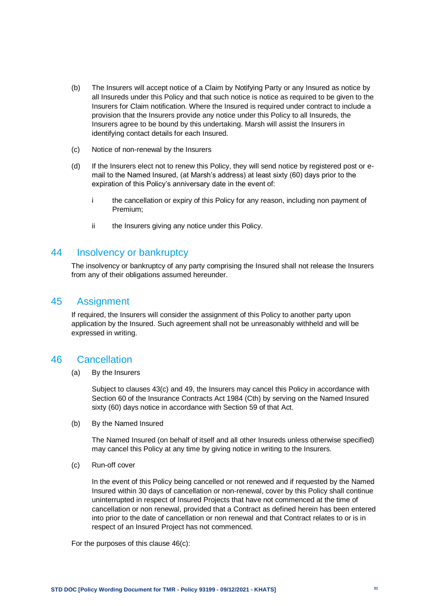- (b) The Insurers will accept notice of a Claim by Notifying Party or any Insured as notice by all Insureds under this Policy and that such notice is notice as required to be given to the Insurers for Claim notification. Where the Insured is required under contract to include a provision that the Insurers provide any notice under this Policy to all Insureds, the Insurers agree to be bound by this undertaking. Marsh will assist the Insurers in identifying contact details for each Insured.
- (c) Notice of non-renewal by the Insurers
- (d) If the Insurers elect not to renew this Policy, they will send notice by registered post or email to the Named Insured, (at Marsh's address) at least sixty (60) days prior to the expiration of this Policy's anniversary date in the event of:
	- i the cancellation or expiry of this Policy for any reason, including non payment of Premium;
	- ii the Insurers giving any notice under this Policy.

#### <span id="page-30-0"></span>44 Insolvency or bankruptcy

The insolvency or bankruptcy of any party comprising the Insured shall not release the Insurers from any of their obligations assumed hereunder.

#### <span id="page-30-1"></span>45 Assignment

If required, the Insurers will consider the assignment of this Policy to another party upon application by the Insured. Such agreement shall not be unreasonably withheld and will be expressed in writing.

#### <span id="page-30-2"></span>46 Cancellation

(a) By the Insurers

Subject to clauses 43(c) and 49, the Insurers may cancel this Policy in accordance with Section 60 of the Insurance Contracts Act 1984 (Cth) by serving on the Named Insured sixty (60) days notice in accordance with Section 59 of that Act.

(b) By the Named Insured

The Named Insured (on behalf of itself and all other Insureds unless otherwise specified) may cancel this Policy at any time by giving notice in writing to the Insurers.

(c) Run-off cover

In the event of this Policy being cancelled or not renewed and if requested by the Named Insured within 30 days of cancellation or non-renewal, cover by this Policy shall continue uninterrupted in respect of Insured Projects that have not commenced at the time of cancellation or non renewal, provided that a Contract as defined herein has been entered into prior to the date of cancellation or non renewal and that Contract relates to or is in respect of an Insured Project has not commenced.

For the purposes of this clause 46(c):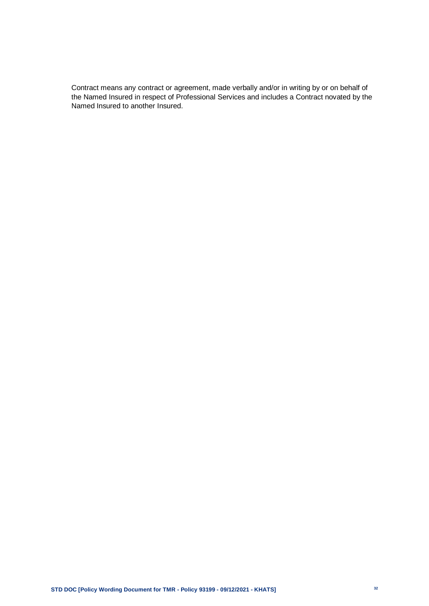Contract means any contract or agreement, made verbally and/or in writing by or on behalf of the Named Insured in respect of Professional Services and includes a Contract novated by the Named Insured to another Insured.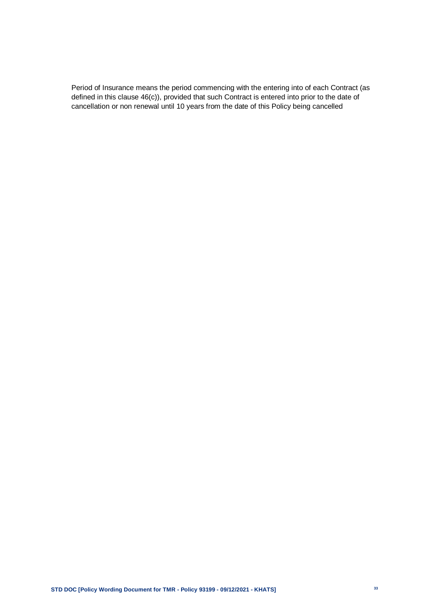Period of Insurance means the period commencing with the entering into of each Contract (as defined in this clause 46(c)), provided that such Contract is entered into prior to the date of cancellation or non renewal until 10 years from the date of this Policy being cancelled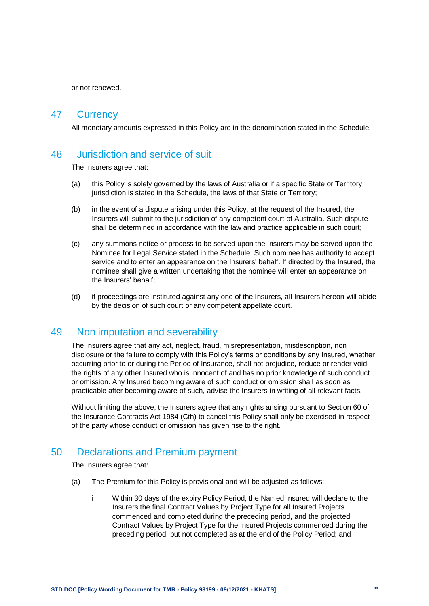or not renewed.

#### <span id="page-33-0"></span>47 Currency

All monetary amounts expressed in this Policy are in the denomination stated in the Schedule.

### <span id="page-33-1"></span>48 Jurisdiction and service of suit

The Insurers agree that:

- (a) this Policy is solely governed by the laws of Australia or if a specific State or Territory jurisdiction is stated in the Schedule, the laws of that State or Territory;
- (b) in the event of a dispute arising under this Policy, at the request of the Insured, the Insurers will submit to the jurisdiction of any competent court of Australia. Such dispute shall be determined in accordance with the law and practice applicable in such court;
- (c) any summons notice or process to be served upon the Insurers may be served upon the Nominee for Legal Service stated in the Schedule. Such nominee has authority to accept service and to enter an appearance on the Insurers' behalf. If directed by the Insured, the nominee shall give a written undertaking that the nominee will enter an appearance on the Insurers' behalf;
- (d) if proceedings are instituted against any one of the Insurers, all Insurers hereon will abide by the decision of such court or any competent appellate court.

#### <span id="page-33-2"></span>49 Non imputation and severability

The Insurers agree that any act, neglect, fraud, misrepresentation, misdescription, non disclosure or the failure to comply with this Policy's terms or conditions by any Insured, whether occurring prior to or during the Period of Insurance, shall not prejudice, reduce or render void the rights of any other Insured who is innocent of and has no prior knowledge of such conduct or omission. Any Insured becoming aware of such conduct or omission shall as soon as practicable after becoming aware of such, advise the Insurers in writing of all relevant facts.

Without limiting the above, the Insurers agree that any rights arising pursuant to Section 60 of the Insurance Contracts Act 1984 (Cth) to cancel this Policy shall only be exercised in respect of the party whose conduct or omission has given rise to the right.

#### <span id="page-33-3"></span>50 Declarations and Premium payment

The Insurers agree that:

- (a) The Premium for this Policy is provisional and will be adjusted as follows:
	- i Within 30 days of the expiry Policy Period, the Named Insured will declare to the Insurers the final Contract Values by Project Type for all Insured Projects commenced and completed during the preceding period, and the projected Contract Values by Project Type for the Insured Projects commenced during the preceding period, but not completed as at the end of the Policy Period; and